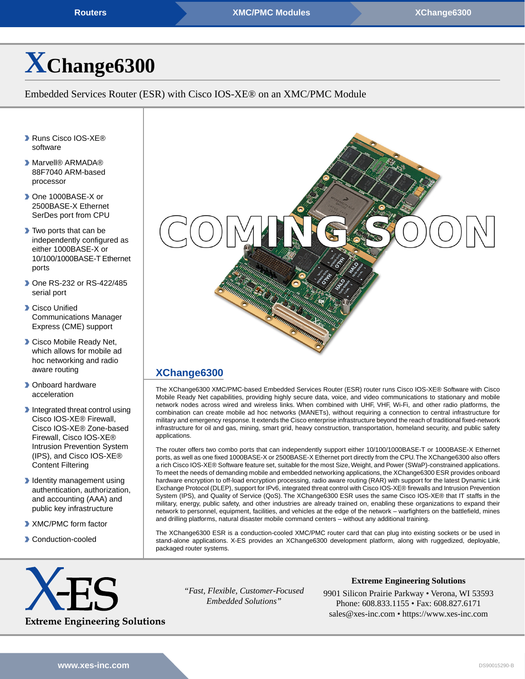**[Routers](https://www.xes-inc.com/product-category/routers/?utm_source=dynamic&utm_medium=referral&utm_term=XChange6300&utm_content=Product%20Category&utm_campaign=Datasheet) [XMC/PMC Modules](https://www.xes-inc.com/products-overview/xmc-pmc-products/?utm_source=dynamic&utm_medium=referral&utm_term=XChange6300&utm_content=Form%20Factor&utm_campaign=Datasheet) XMC/PMC Modules [XChange6300](https://www.xes-inc.com/products/routers/xchange6300/?utm_source=dynamic&utm_medium=referral&utm_term=XChange6300&utm_content=Header&utm_campaign=Datasheet)** 

# **[X](https://www.xes-inc.com/products/routers/xchange6300/?utm_source=dynamic&utm_medium=referral&utm_term=XChange6300&utm_content=Title&utm_campaign=Datasheet)[Change6300](https://www.xes-inc.com/products/routers/xchange6300/?utm_source=dynamic&utm_medium=referral&utm_term=XChange6300&utm_content=Title&utm_campaign=Datasheet)**

Embedded Services Router (ESR) with Cisco IOS-XE® on an XMC/PMC Module

- ▶ Runs Cisco IOS-XE<sup>®</sup> software
- ▶ Marvell® ARMADA® 88F7040 ARM-based processor
- ▶ One 1000BASE-X or 2500BASE-X Ethernet SerDes port from CPU
- **Two ports that can be** independently configured as either 1000BASE-X or 10/100/1000BASE-T Ethernet ports
- ▶ One RS-232 or RS-422/485 serial port
- **Cisco Unified** Communications Manager Express (CME) support
- **Cisco Mobile Ready Net.** which allows for mobile ad hoc networking and radio aware routing
- **D** Onboard hardware acceleration
- Integrated threat control using Cisco IOS-XE® Firewall, Cisco IOS-XE® Zone-based Firewall, Cisco IOS-XE® Intrusion Prevention System (IPS), and Cisco IOS-XE® Content Filtering
- Identity management using authentication, authorization, and accounting (AAA) and public key infrastructure
- XMC/PMC form factor
- Conduction-cooled



# **[XChange6300](https://www.xes-inc.com/products/routers/xchange6300/?utm_source=dynamic&utm_medium=referral&utm_term=XChange6300&utm_content=Description%20Title&utm_campaign=Datasheet)**

The XChange6300 XMC/PMC-based Embedded Services Router (ESR) router runs Cisco IOS-XE® Software with Cisco Mobile Ready Net capabilities, providing highly secure data, voice, and video communications to stationary and mobile network nodes across wired and wireless links. When combined with UHF, VHF, Wi-Fi, and other radio platforms, the combination can create mobile ad hoc networks (MANETs), without requiring a connection to central infrastructure for military and emergency response. It extends the Cisco enterprise infrastructure beyond the reach of traditional fixed-network infrastructure for oil and gas, mining, smart grid, heavy construction, transportation, homeland security, and public safety applications.

The router offers two combo ports that can independently support either 10/100/1000BASE-T or 1000BASE-X Ethernet ports, as well as one fixed 1000BASE-X or 2500BASE-X Ethernet port directly from the CPU.The XChange6300 also offers a rich Cisco IOS-XE® Software feature set, suitable for the most Size, Weight, and Power (SWaP)-constrained applications. To meet the needs of demanding mobile and embedded networking applications, the XChange6300 ESR provides onboard hardware encryption to off-load encryption processing, radio aware routing (RAR) with support for the latest Dynamic Link Exchange Protocol (DLEP), support for IPv6, integrated threat control with Cisco IOS-XE® firewalls and Intrusion Prevention System (IPS), and Quality of Service (QoS). The XChange6300 ESR uses the same Cisco IOS-XE® that IT staffs in the military, energy, public safety, and other industries are already trained on, enabling these organizations to expand their network to personnel, equipment, facilities, and vehicles at the edge of the network – warfighters on the battlefield, mines and drilling platforms, natural disaster mobile command centers – without any additional training.

The XChange6300 ESR is a conduction-cooled XMC/PMC router card that can plug into existing sockets or be used in stand-alone applications. X-ES provides an XChange6300 development platform, along with ruggedized, deployable, packaged router systems.



*"Fast, Flexible, Customer-Focused Embedded Solutions"*

**Extreme Engineering Solutions**

9901 Silicon Prairie Parkway • Verona, WI 53593 Phone: 608.833.1155 • Fax: 608.827.6171 sales@xes-inc.com • <https://www.xes-inc.com>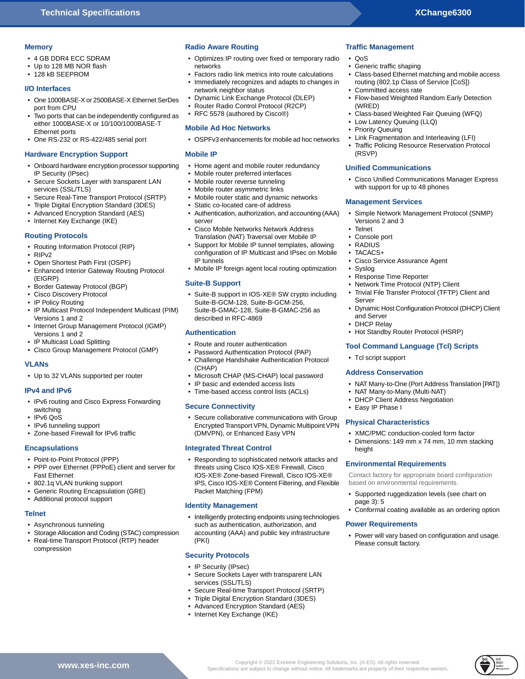#### **Memory**

- 4 GB DDR4 ECC SDRAM
- Up to 128 MB NOR flash
- 128 kB SEEPROM

#### **I/O Interfaces**

- One 1000BASE-X or 2500BASE-X Ethernet SerDes port from CPU
- Two ports that can be independently configured as either 1000BASE-X or 10/100/1000BASE-T Ethernet ports
- One RS-232 or RS-422/485 serial port

#### **Hardware Encryption Support**

- Onboard hardware encryption processor supporting IP Security (IPsec)
- Secure Sockets Layer with transparent LAN services (SSL/TLS)
- Secure Real-Time Transport Protocol (SRTP)
- Triple Digital Encryption Standard (3DES)
- Advanced Encryption Standard (AES)
- Internet Key Exchange (IKE)

## **Routing Protocols**

- Routing Information Protocol (RIP)
- RIPv2
- Open Shortest Path First (OSPF)
- Enhanced Interior Gateway Routing Protocol (EIGRP)
- Border Gateway Protocol (BGP)
- Cisco Discovery Protocol
- IP Policy Routing
- IP Multicast Protocol Independent Multicast (PIM) Versions 1 and 2
- Internet Group Management Protocol (IGMP) Versions 1 and 2
- IP Multicast Load Splitting
- Cisco Group Management Protocol (GMP)

#### **VLANs**

• Up to 32 VLANs supported per router

#### **IPv4 and IPv6**

- IPv6 routing and Cisco Express Forwarding switching
- IPv6 QoS
- IPv6 tunneling support
- Zone-based Firewall for IPv6 traffic

# **Encapsulations**

- Point-to-Point Protocol (PPP)
- PPP over Ethernet (PPPoE) client and server for Fast Ethernet
- 802.1q VLAN trunking support
- Generic Routing Encapsulation (GRE)
- Additional protocol support

#### **Telnet**

- Asynchronous tunneling
- Storage Allocation and Coding (STAC) compression
- Real-time Transport Protocol (RTP) header compression

**[.xes-inc.com](https://www.xes-inc.com)**

# **Radio Aware Routing**

- Optimizes IP routing over fixed or temporary radio networks
- Factors radio link metrics into route calculations • Immediately recognizes and adapts to changes in
- network neighbor status
- Dynamic Link Exchange Protocol (DLEP)
- Router Radio Control Protocol (R2CP)

# • RFC 5578 (authored by Cisco®)

#### **Mobile Ad Hoc Networks**

• OSPFv3 enhancements for mobile ad hoc networks

## **Mobile IP**

- Home agent and mobile router redundancy
- Mobile router preferred interfaces
- Mobile router reverse tunneling
- Mobile router asymmetric links
- Mobile router static and dynamic networks
- Static co-located care-of address
- Authentication, authorization, and accounting (AAA) server
- Cisco Mobile Networks Network Address Translation (NAT) Traversal over Mobile IP
- Support for Mobile IP tunnel templates, allowing configuration of IP Multicast and IPsec on Mobile IP tunnels
- Mobile IP foreign agent local routing optimization

#### **Suite-B Support**

• Suite-B support in IOS-XE® SW crypto including Suite-B-GCM-128, Suite-B-GCM-256, Suite-B-GMAC-128, Suite-B-GMAC-256 as described in RFC-4869

## **Authentication**

- Route and router authentication
- Password Authentication Protocol (PAP)
- Challenge Handshake Authentication Protocol (CHAP)
- Microsoft CHAP (MS-CHAP) local password
- IP basic and extended access lists
- Time-based access control lists (ACLs)

#### **Secure Connectivity**

• Secure collaborative communications with Group Encrypted Transport VPN, Dynamic Multipoint VPN (DMVPN), or Enhanced Easy VPN

#### **Integrated Threat Control**

• Responding to sophisticated network attacks and threats using Cisco IOS-XE® Firewall, Cisco IOS-XE® Zone-based Firewall, Cisco IOS-XE® IPS, Cisco IOS-XE® Content Filtering, and Flexible Packet Matching (FPM)

#### **Identity Management**

• Intelligently protecting endpoints using technologies such as authentication, authorization, and accounting (AAA) and public key infrastructure (PKI)

#### **Security Protocols**

- IP Security (IPsec)
- Secure Sockets Layer with transparent LAN services (SSL/TLS)
- Secure Real-time Transport Protocol (SRTP)
- Triple Digital Encryption Standard (3DES)
- Advanced Encryption Standard (AES)
- Internet Key Exchange (IKE)

# **Traffic Management**

- QoS
- Generic traffic shaping
- Class-based Ethernet matching and mobile access routing (802.1p Class of Service [CoS])
- Committed access rate
- Flow-based Weighted Random Early Detection (WRED)
- Class-based Weighted Fair Queuing (WFQ)
- Low Latency Queuing (LLQ)
- Priority Queuing
- Link Fragmentation and Interleaving (LFI)
- Traffic Policing Resource Reservation Protocol (RSVP)

#### **Unified Communications**

**Management Services**

• Cisco Service Assurance Agent

• Network Time Protocol (NTP) Client

• Hot Standby Router Protocol (HSRP) **Tool Command Language (Tcl) Scripts**

• NAT Many-to-Many (Multi-NAT) • DHCP Client Address Negotiation

**Environmental Requirements**

based on environmental requirements.

• Response Time Reporter

Versions 2 and 3

• Telnet • Console port • RADIUS • TACACS+

• Syslog

Server

and Server • DHCP Relay

• Tcl script support **Address Conservation**

• Easy IP Phase I

height

page 3): 5

Copyright © 2022 Extreme Engineering Solutions, Inc. (X-ES). All rights reserved. **www** Specifications are subject to change without notice. All trademarks are property of their respective owners.

**Power Requirements**

Please consult factory.

**Physical Characteristics**

• Cisco Unified Communications Manager Express with support for up to 48 phones

• Simple Network Management Protocol (SNMP)

• Trivial File Transfer Protocol (TFTP) Client and

• Dynamic Host Configuration Protocol (DHCP) Client

• NAT Many-to-One (Port Address Translation [PAT])

• XMC/PMC conduction-cooled form factor • Dimensions: 149 mm x 74 mm, 10 mm stacking

Contact factory for appropriate board configuration

• Supported ruggedization levels (see chart on

• Conformal coating available as an ordering option

• Power will vary based on configuration and usage.